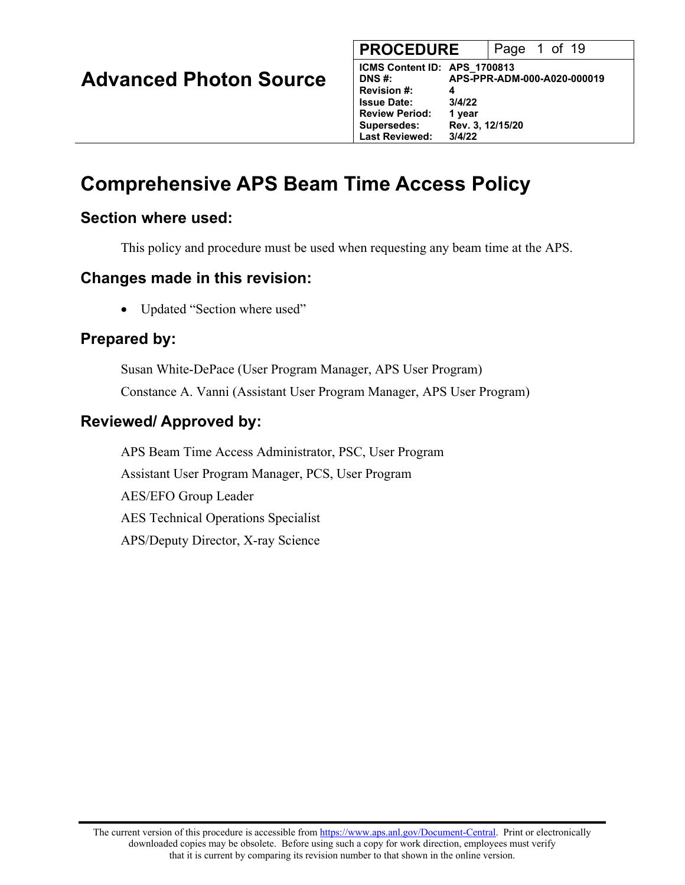| <b>Advanced Photon Source</b> |  |  |
|-------------------------------|--|--|
|-------------------------------|--|--|

| <b>PROCEDURE</b>             |                  | Page 1 of 19                |  |  |
|------------------------------|------------------|-----------------------------|--|--|
| ICMS Content ID: APS_1700813 |                  |                             |  |  |
| <b>DNS#:</b>                 |                  | APS-PPR-ADM-000-A020-000019 |  |  |
| <b>Revision #:</b>           | 4                |                             |  |  |
| <b>Issue Date:</b>           | 3/4/22           |                             |  |  |
| <b>Review Period:</b>        | 1 year           |                             |  |  |
| <b>Supersedes:</b>           | Rev. 3, 12/15/20 |                             |  |  |
| <b>Last Reviewed:</b>        | 3/4/22           |                             |  |  |
|                              |                  |                             |  |  |

# **Comprehensive APS Beam Time Access Policy**

## **Section where used:**

This policy and procedure must be used when requesting any beam time at the APS.

## **Changes made in this revision:**

• Updated "Section where used"

# **Prepared by:**

Susan White-DePace (User Program Manager, APS User Program) Constance A. Vanni (Assistant User Program Manager, APS User Program)

## **Reviewed/ Approved by:**

APS Beam Time Access Administrator, PSC, User Program Assistant User Program Manager, PCS, User Program AES/EFO Group Leader AES Technical Operations Specialist APS/Deputy Director, X-ray Science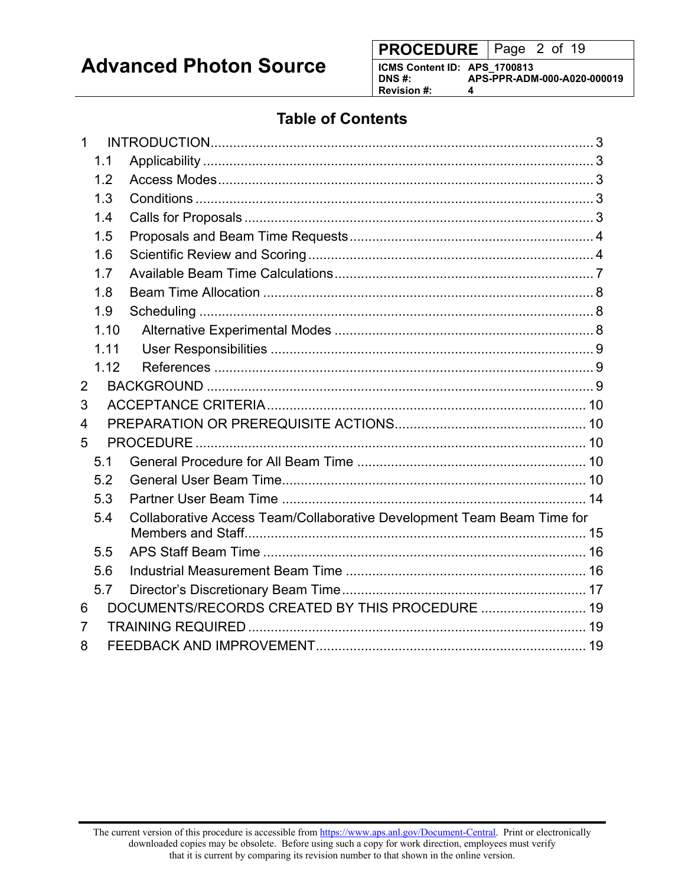**PROCEDURE** | Page 2 of 19

**ICMS Content ID: APS\_1700813 DNS #: APS-PPR-ADM-000-A020-000019 Revision #: 4**

# **Table of Contents**

| $\mathbf{1}$   |      |                                                                        |  |
|----------------|------|------------------------------------------------------------------------|--|
|                | 1.1  |                                                                        |  |
|                | 1.2  |                                                                        |  |
|                | 1.3  |                                                                        |  |
|                | 1.4  |                                                                        |  |
|                | 1.5  |                                                                        |  |
|                | 1.6  |                                                                        |  |
|                | 1.7  |                                                                        |  |
|                | 1.8  |                                                                        |  |
|                | 1.9  |                                                                        |  |
|                | 1.10 |                                                                        |  |
|                | 1.11 |                                                                        |  |
|                | 1.12 |                                                                        |  |
| $\overline{2}$ |      |                                                                        |  |
| 3              |      |                                                                        |  |
| 4              |      |                                                                        |  |
| 5              |      |                                                                        |  |
|                | 5.1  |                                                                        |  |
|                | 5.2  |                                                                        |  |
|                | 5.3  |                                                                        |  |
|                | 5.4  | Collaborative Access Team/Collaborative Development Team Beam Time for |  |
|                |      |                                                                        |  |
|                | 5.5  |                                                                        |  |
|                | 5.6  |                                                                        |  |
|                | 5.7  |                                                                        |  |
| 6              |      |                                                                        |  |
| 7              |      |                                                                        |  |
| 8              |      |                                                                        |  |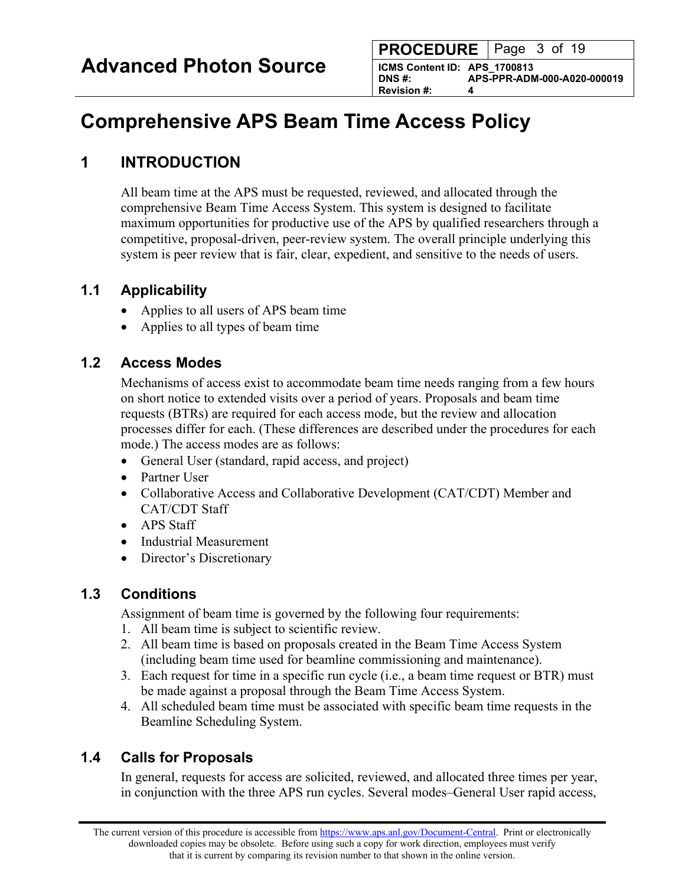**PROCEDURE** | Page 3 of 19

**ICMS Content ID: APS\_1700813 DNS #: APS-PPR-ADM-000-A020-000019 Revision #:** 

# <span id="page-2-0"></span>**Comprehensive APS Beam Time Access Policy**

# **1 INTRODUCTION**

All beam time at the APS must be requested, reviewed, and allocated through the comprehensive Beam Time Access System. This system is designed to facilitate maximum opportunities for productive use of the APS by qualified researchers through a competitive, proposal-driven, peer-review system. The overall principle underlying this system is peer review that is fair, clear, expedient, and sensitive to the needs of users.

## **1.1 Applicability**

- Applies to all users of APS beam time
- Applies to all types of beam time

## **1.2 Access Modes**

Mechanisms of access exist to accommodate beam time needs ranging from a few hours on short notice to extended visits over a period of years. Proposals and beam time requests (BTRs) are required for each access mode, but the review and allocation processes differ for each. (These differences are described under the procedures for each mode.) The access modes are as follows:

- General User (standard, rapid access, and project)
- Partner User
- Collaborative Access and Collaborative Development (CAT/CDT) Member and CAT/CDT Staff
- APS Staff
- Industrial Measurement
- Director's Discretionary

## **1.3 Conditions**

Assignment of beam time is governed by the following four requirements:

- 1. All beam time is subject to scientific review.
- 2. All beam time is based on proposals created in the Beam Time Access System (including beam time used for beamline commissioning and maintenance).
- 3. Each request for time in a specific run cycle (i.e., a beam time request or BTR) must be made against a proposal through the Beam Time Access System.
- 4. All scheduled beam time must be associated with specific beam time requests in the Beamline Scheduling System.

# **1.4 Calls for Proposals**

In general, requests for access are solicited, reviewed, and allocated three times per year, in conjunction with the three APS run cycles. Several modes–General User rapid access,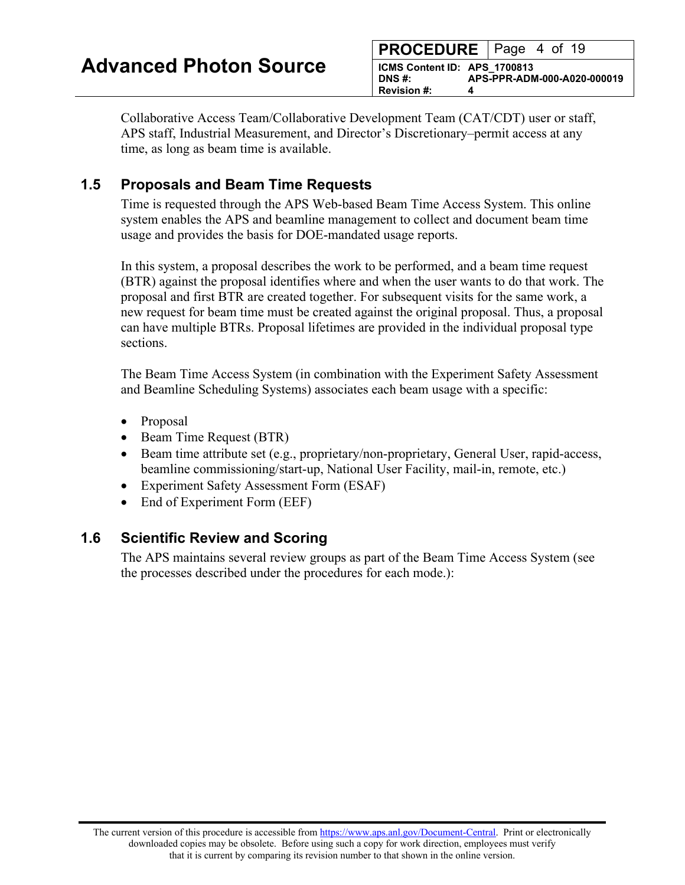|                                        |   | <b>PROCEDURE</b> Page 4 of 19 |
|----------------------------------------|---|-------------------------------|
| ICMS Content ID: APS 1700813<br>DNS #: |   | APS-PPR-ADM-000-A020-000019   |
| Revision #:                            | д |                               |

<span id="page-3-0"></span>Collaborative Access Team/Collaborative Development Team (CAT/CDT) user or staff, APS staff, Industrial Measurement, and Director's Discretionary–permit access at any time, as long as beam time is available.

### **1.5 Proposals and Beam Time Requests**

Time is requested through the APS Web-based Beam Time Access System. This online system enables the APS and beamline management to collect and document beam time usage and provides the basis for DOE-mandated usage reports.

In this system, a proposal describes the work to be performed, and a beam time request (BTR) against the proposal identifies where and when the user wants to do that work. The proposal and first BTR are created together. For subsequent visits for the same work, a new request for beam time must be created against the original proposal. Thus, a proposal can have multiple BTRs. Proposal lifetimes are provided in the individual proposal type sections.

The Beam Time Access System (in combination with the Experiment Safety Assessment and Beamline Scheduling Systems) associates each beam usage with a specific:

- Proposal
- Beam Time Request (BTR)
- Beam time attribute set (e.g., proprietary/non-proprietary, General User, rapid-access, beamline commissioning/start-up, National User Facility, mail-in, remote, etc.)
- Experiment Safety Assessment Form (ESAF)
- End of Experiment Form (EEF)

#### **1.6 Scientific Review and Scoring**

The APS maintains several review groups as part of the Beam Time Access System (see the processes described under the procedures for each mode.):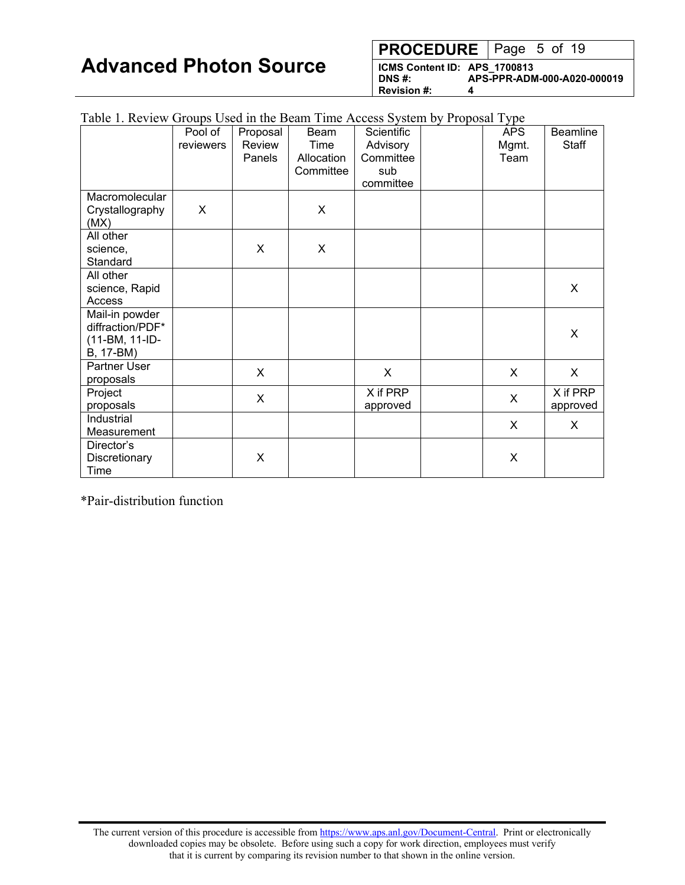**PROCEDURE** | Page 5 of 19

**ICMS Content ID: APS\_1700813 DNS #: APS-PPR-ADM-000-A020-000019 Revision #: 4**

| Table 1. Review Groups Used in the Beam Time Access System by Proposal Type |           |          |            |            |            |                 |
|-----------------------------------------------------------------------------|-----------|----------|------------|------------|------------|-----------------|
|                                                                             | Pool of   | Proposal | Beam       | Scientific | <b>APS</b> | <b>Beamline</b> |
|                                                                             | reviewers | Review   | Time       | Advisory   | Mgmt.      | Staff           |
|                                                                             |           | Panels   | Allocation | Committee  | Team       |                 |
|                                                                             |           |          | Committee  | sub        |            |                 |
|                                                                             |           |          |            | committee  |            |                 |
| Macromolecular                                                              |           |          |            |            |            |                 |
| Crystallography                                                             | X         |          | X          |            |            |                 |
| (MX)                                                                        |           |          |            |            |            |                 |
| All other                                                                   |           |          |            |            |            |                 |
| science,                                                                    |           | X        | X          |            |            |                 |
| Standard                                                                    |           |          |            |            |            |                 |
| All other                                                                   |           |          |            |            |            |                 |
| science, Rapid                                                              |           |          |            |            |            | X               |
| Access                                                                      |           |          |            |            |            |                 |
| Mail-in powder                                                              |           |          |            |            |            |                 |
| diffraction/PDF*                                                            |           |          |            |            |            | X               |
| (11-BM, 11-ID-                                                              |           |          |            |            |            |                 |
| B, 17-BM)                                                                   |           |          |            |            |            |                 |
| Partner User                                                                |           | X        |            | X          | $\sf X$    | $\sf X$         |
| proposals                                                                   |           |          |            |            |            |                 |
| Project                                                                     |           | X        |            | X if PRP   | X          | X if PRP        |
| proposals                                                                   |           |          |            | approved   |            | approved        |
| Industrial                                                                  |           |          |            |            | X          | X               |
| Measurement                                                                 |           |          |            |            |            |                 |
| Director's                                                                  |           |          |            |            |            |                 |
| Discretionary                                                               |           | X        |            |            | X          |                 |
| Time                                                                        |           |          |            |            |            |                 |

\*Pair-distribution function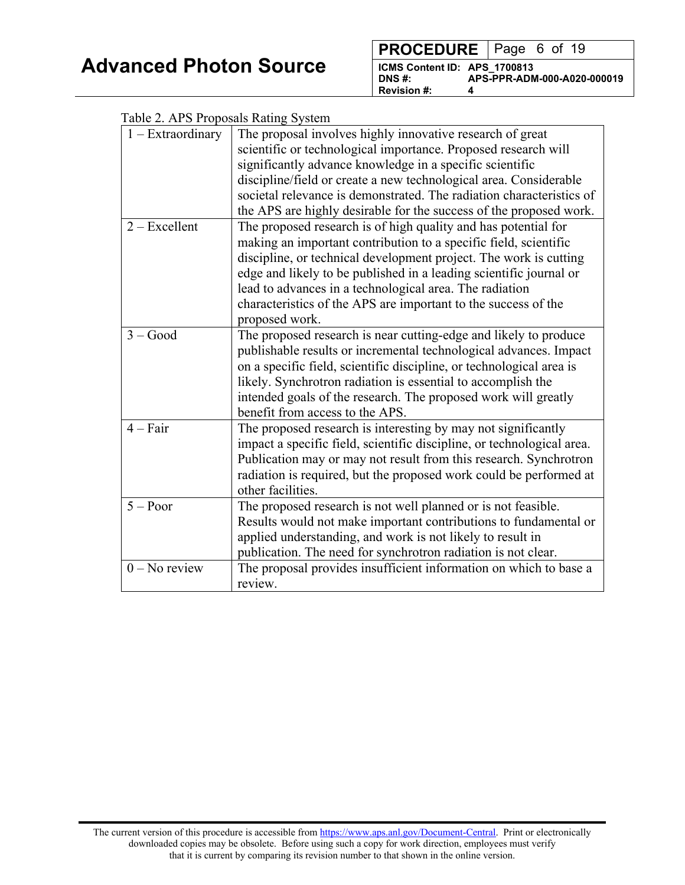| <b>PROCEDURE</b>   Page 6 of 19                                   |                             |
|-------------------------------------------------------------------|-----------------------------|
| ICMS Content ID: APS 1700813<br>DNS #:<br><b>Revision #:</b><br>4 | APS-PPR-ADM-000-A020-000019 |

| Table 2. APS Proposals Rating System |                                                                        |
|--------------------------------------|------------------------------------------------------------------------|
| $1 - Extraordinary$                  | The proposal involves highly innovative research of great              |
|                                      | scientific or technological importance. Proposed research will         |
|                                      | significantly advance knowledge in a specific scientific               |
|                                      | discipline/field or create a new technological area. Considerable      |
|                                      | societal relevance is demonstrated. The radiation characteristics of   |
|                                      | the APS are highly desirable for the success of the proposed work.     |
| $2 - Excellent$                      | The proposed research is of high quality and has potential for         |
|                                      | making an important contribution to a specific field, scientific       |
|                                      | discipline, or technical development project. The work is cutting      |
|                                      | edge and likely to be published in a leading scientific journal or     |
|                                      | lead to advances in a technological area. The radiation                |
|                                      | characteristics of the APS are important to the success of the         |
|                                      | proposed work.                                                         |
| $3 - Good$                           | The proposed research is near cutting-edge and likely to produce       |
|                                      | publishable results or incremental technological advances. Impact      |
|                                      | on a specific field, scientific discipline, or technological area is   |
|                                      | likely. Synchrotron radiation is essential to accomplish the           |
|                                      | intended goals of the research. The proposed work will greatly         |
|                                      | benefit from access to the APS.                                        |
| $4 - Fair$                           | The proposed research is interesting by may not significantly          |
|                                      | impact a specific field, scientific discipline, or technological area. |
|                                      | Publication may or may not result from this research. Synchrotron      |
|                                      | radiation is required, but the proposed work could be performed at     |
|                                      | other facilities.                                                      |
| $5 - Poor$                           | The proposed research is not well planned or is not feasible.          |
|                                      | Results would not make important contributions to fundamental or       |
|                                      | applied understanding, and work is not likely to result in             |
|                                      | publication. The need for synchrotron radiation is not clear.          |
| $0 - No$ review                      | The proposal provides insufficient information on which to base a      |
|                                      | review.                                                                |

 $T_{\text{c}}(1, 1)$  2. A DC  $D_{\text{c}}(1, 1)$  and  $D_{\text{c}}(1, 1)$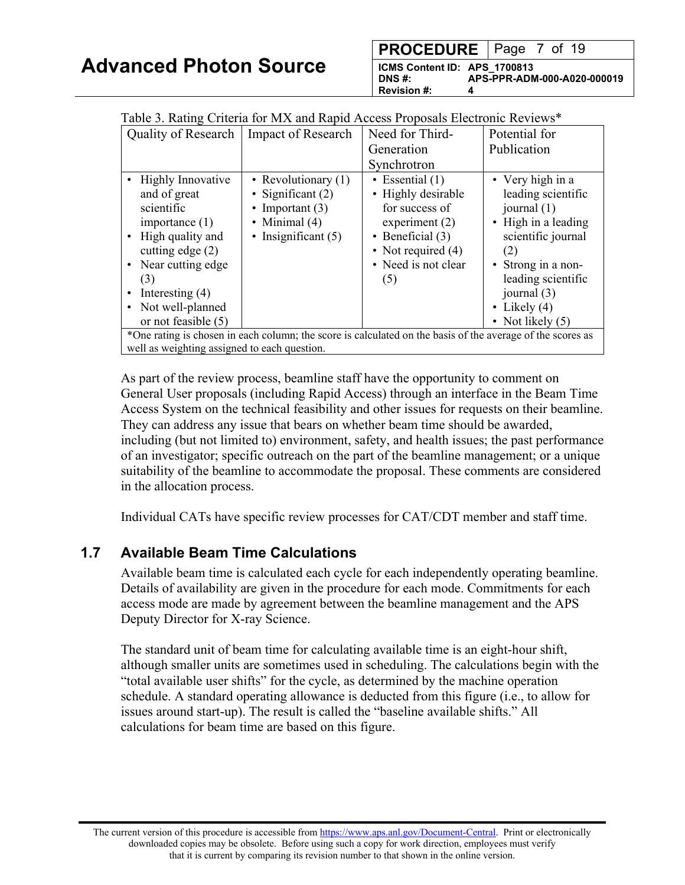| <b>PROCEDURE</b>   Page 7 of 19 |  |  |  |
|---------------------------------|--|--|--|
|                                 |  |  |  |

**ICMS Content ID: APS\_1700813 DNS #: APS-PPR-ADM-000-A020-000019 Revision #: 4**

| Table 5. Kaulig Criteria for MA and Kapid Access Proposals Electronic Reviews                                                                                                                                       |                                                                                                               |                                                                                                                                                           |                                                                                                                                                                                          |
|---------------------------------------------------------------------------------------------------------------------------------------------------------------------------------------------------------------------|---------------------------------------------------------------------------------------------------------------|-----------------------------------------------------------------------------------------------------------------------------------------------------------|------------------------------------------------------------------------------------------------------------------------------------------------------------------------------------------|
| Quality of Research   Impact of Research                                                                                                                                                                            |                                                                                                               | Need for Third-                                                                                                                                           | Potential for                                                                                                                                                                            |
|                                                                                                                                                                                                                     |                                                                                                               | Generation                                                                                                                                                | Publication                                                                                                                                                                              |
|                                                                                                                                                                                                                     |                                                                                                               | Synchrotron                                                                                                                                               |                                                                                                                                                                                          |
| <b>Highly Innovative</b><br>and of great<br>scientific<br>importance $(1)$<br>High quality and<br>cutting edge $(2)$<br>Near cutting edge<br>$\bullet$<br>(3)<br>Interesting $(4)$<br>Not well-planned<br>$\bullet$ | • Revolutionary $(1)$<br>• Significant $(2)$<br>• Important $(3)$<br>• Minimal $(4)$<br>• Insignificant $(5)$ | • Essential $(1)$<br>• Highly desirable<br>for success of<br>experiment $(2)$<br>• Beneficial $(3)$<br>• Not required $(4)$<br>• Need is not clear<br>(5) | • Very high in a<br>leading scientific<br>journal $(1)$<br>• High in a leading<br>scientific journal<br>(2)<br>• Strong in a non-<br>leading scientific<br>journal (3)<br>• Likely $(4)$ |
| or not feasible $(5)$                                                                                                                                                                                               |                                                                                                               |                                                                                                                                                           | • Not likely $(5)$                                                                                                                                                                       |
| *One rating is chosen in each column; the score is calculated on the basis of the average of the scores as                                                                                                          |                                                                                                               |                                                                                                                                                           |                                                                                                                                                                                          |
| well as weighting assigned to each question.                                                                                                                                                                        |                                                                                                               |                                                                                                                                                           |                                                                                                                                                                                          |

<span id="page-6-0"></span> $T_{\rm eff}$  3. Rating Criteria for MX and Rapid Access Proposals  $P_{\rm eff}$ 

As part of the review process, beamline staff have the opportunity to comment on General User proposals (including Rapid Access) through an interface in the Beam Time Access System on the technical feasibility and other issues for requests on their beamline. They can address any issue that bears on whether beam time should be awarded, including (but not limited to) environment, safety, and health issues; the past performance of an investigator; specific outreach on the part of the beamline management; or a unique suitability of the beamline to accommodate the proposal. These comments are considered in the allocation process.

Individual CATs have specific review processes for CAT/CDT member and staff time.

#### **1.7 Available Beam Time Calculations**

Available beam time is calculated each cycle for each independently operating beamline. Details of availability are given in the procedure for each mode. Commitments for each access mode are made by agreement between the beamline management and the APS Deputy Director for X-ray Science.

The standard unit of beam time for calculating available time is an eight-hour shift, although smaller units are sometimes used in scheduling. The calculations begin with the "total available user shifts" for the cycle, as determined by the machine operation schedule. A standard operating allowance is deducted from this figure (i.e., to allow for issues around start-up). The result is called the "baseline available shifts." All calculations for beam time are based on this figure.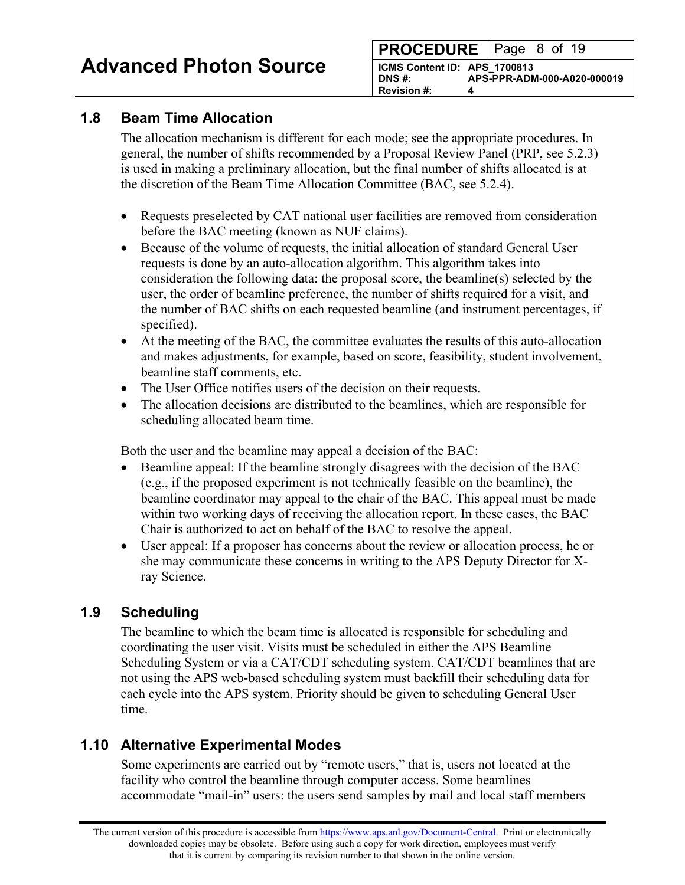### <span id="page-7-0"></span>**1.8 Beam Time Allocation**

The allocation mechanism is different for each mode; see the appropriate procedures. In general, the number of shifts recommended by a Proposal Review Panel (PRP, see 5.2.3) is used in making a preliminary allocation, but the final number of shifts allocated is at the discretion of the Beam Time Allocation Committee (BAC, see 5.2.4).

- Requests preselected by CAT national user facilities are removed from consideration before the BAC meeting (known as NUF claims).
- Because of the volume of requests, the initial allocation of standard General User requests is done by an auto-allocation algorithm. This algorithm takes into consideration the following data: the proposal score, the beamline(s) selected by the user, the order of beamline preference, the number of shifts required for a visit, and the number of BAC shifts on each requested beamline (and instrument percentages, if specified).
- At the meeting of the BAC, the committee evaluates the results of this auto-allocation and makes adjustments, for example, based on score, feasibility, student involvement, beamline staff comments, etc.
- The User Office notifies users of the decision on their requests.
- The allocation decisions are distributed to the beamlines, which are responsible for scheduling allocated beam time.

Both the user and the beamline may appeal a decision of the BAC:

- Beamline appeal: If the beamline strongly disagrees with the decision of the BAC (e.g., if the proposed experiment is not technically feasible on the beamline), the beamline coordinator may appeal to the chair of the BAC. This appeal must be made within two working days of receiving the allocation report. In these cases, the BAC Chair is authorized to act on behalf of the BAC to resolve the appeal.
- User appeal: If a proposer has concerns about the review or allocation process, he or she may communicate these concerns in writing to the APS Deputy Director for Xray Science.

# **1.9 Scheduling**

The beamline to which the beam time is allocated is responsible for scheduling and coordinating the user visit. Visits must be scheduled in either the APS Beamline Scheduling System or via a CAT/CDT scheduling system. CAT/CDT beamlines that are not using the APS web-based scheduling system must backfill their scheduling data for each cycle into the APS system. Priority should be given to scheduling General User time.

# **1.10 Alternative Experimental Modes**

Some experiments are carried out by "remote users," that is, users not located at the facility who control the beamline through computer access. Some beamlines accommodate "mail-in" users: the users send samples by mail and local staff members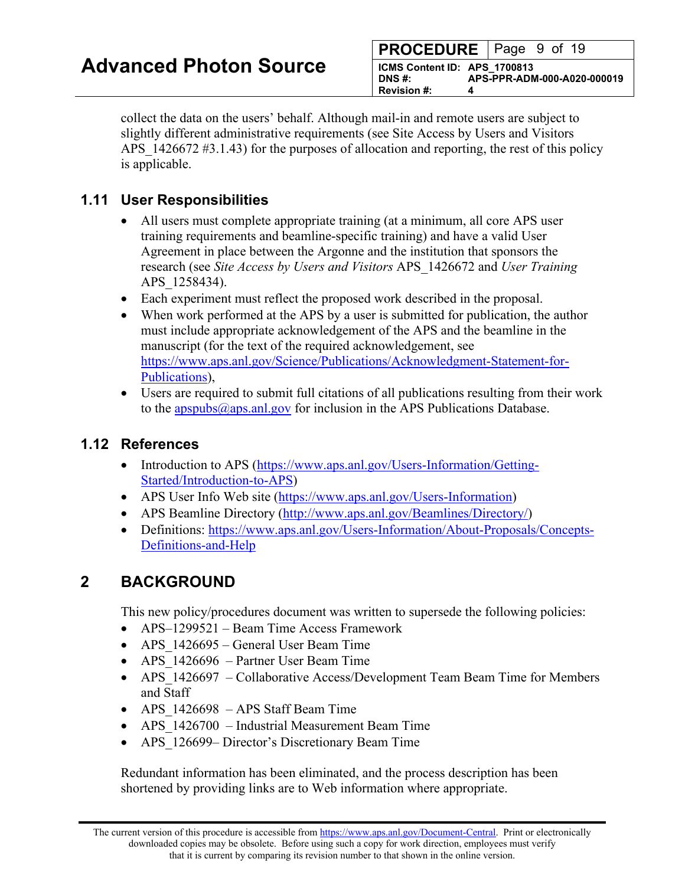| <b>PROCEDURE</b> Page 9 of 19                           |                             |
|---------------------------------------------------------|-----------------------------|
| ICMS Content ID: APS_1700813<br>I DNS #:<br>Revision #: | APS-PPR-ADM-000-A020-000019 |

<span id="page-8-0"></span>collect the data on the users' behalf. Although mail-in and remote users are subject to slightly different administrative requirements (see Site Access by Users and Visitors APS 1426672 #3.1.43) for the purposes of allocation and reporting, the rest of this policy is applicable.

### **1.11 User Responsibilities**

- All users must complete appropriate training (at a minimum, all core APS user training requirements and beamline-specific training) and have a valid User Agreement in place between the Argonne and the institution that sponsors the research (see *Site Access by Users and Visitors* APS\_1426672 and *User Training* APS\_1258434).
- Each experiment must reflect the proposed work described in the proposal.
- When work performed at the APS by a user is submitted for publication, the author must include appropriate acknowledgement of the APS and the beamline in the manuscript (for the text of the required acknowledgement, see [https://www.aps.anl.gov/Science/Publications/Acknowledgment-Statement-for-](https://www.aps.anl.gov/Science/Publications/Acknowledgment-Statement-for-Publications)[Publications\)](https://www.aps.anl.gov/Science/Publications/Acknowledgment-Statement-for-Publications),
- Users are required to submit full citations of all publications resulting from their work to the  $a$ pspubs $(a)$ <sub>aps.anl.gov</sub> for inclusion in the APS Publications Database.

#### **1.12 References**

- Introduction to APS [\(https://www.aps.anl.gov/Users-Information/Getting-](https://www.aps.anl.gov/Users-Information/Getting-Started/Introduction-to-APS)[Started/Introduction-to-APS\)](https://www.aps.anl.gov/Users-Information/Getting-Started/Introduction-to-APS)
- APS User Info Web site [\(https://www.aps.anl.gov/Users-Information\)](https://www.aps.anl.gov/Users-Information)
- APS Beamline Directory [\(http://www.aps.anl.gov/Beamlines/Directory/\)](http://www.aps.anl.gov/Beamlines/Directory/)
- Definitions: [https://www.aps.anl.gov/Users-Information/About-Proposals/Concepts-](https://www.aps.anl.gov/Users-Information/About-Proposals/Concepts-Definitions-and-Help)[Definitions-and-Help](https://www.aps.anl.gov/Users-Information/About-Proposals/Concepts-Definitions-and-Help)

# **2 BACKGROUND**

This new policy/procedures document was written to supersede the following policies:

- APS–1299521 Beam Time Access Framework
- APS 1426695 General User Beam Time
- APS 1426696 Partner User Beam Time
- APS 1426697 Collaborative Access/Development Team Beam Time for Members and Staff
- APS 1426698 APS Staff Beam Time
- APS 1426700 Industrial Measurement Beam Time
- APS 126699– Director's Discretionary Beam Time

Redundant information has been eliminated, and the process description has been shortened by providing links are to Web information where appropriate.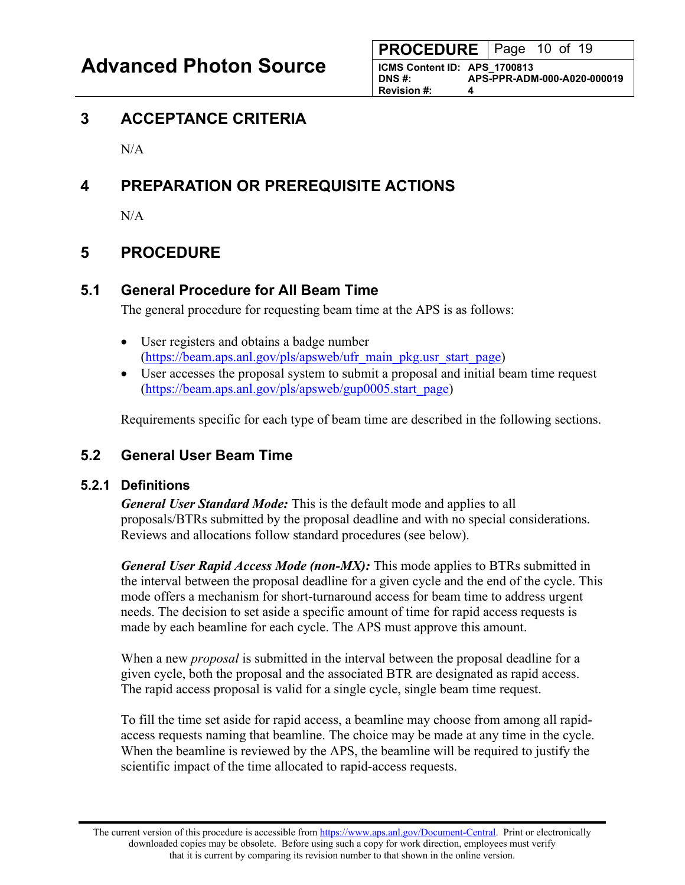**ICMS Content ID: APS\_1700813 DNS #: APS-PPR-ADM-000-A020-000019 Revision #: 4**

# <span id="page-9-0"></span>**3 ACCEPTANCE CRITERIA**

 $N/A$ 

# **4 PREPARATION OR PREREQUISITE ACTIONS**

N/A

# **5 PROCEDURE**

## **5.1 General Procedure for All Beam Time**

The general procedure for requesting beam time at the APS is as follows:

- User registers and obtains a badge number [\(https://beam.aps.anl.gov/pls/apsweb/ufr\\_main\\_pkg.usr\\_start\\_page\)](https://beam.aps.anl.gov/pls/apsweb/ufr_main_pkg.usr_start_page)
- User accesses the proposal system to submit a proposal and initial beam time request [\(https://beam.aps.anl.gov/pls/apsweb/gup0005.start\\_page\)](https://beam.aps.anl.gov/pls/apsweb/gup0005.start_page)

Requirements specific for each type of beam time are described in the following sections.

## **5.2 General User Beam Time**

#### **5.2.1 Definitions**

*General User Standard Mode:* This is the default mode and applies to all proposals/BTRs submitted by the proposal deadline and with no special considerations. Reviews and allocations follow standard procedures (see below).

*General User Rapid Access Mode (non-MX):* This mode applies to BTRs submitted in the interval between the proposal deadline for a given cycle and the end of the cycle. This mode offers a mechanism for short-turnaround access for beam time to address urgent needs. The decision to set aside a specific amount of time for rapid access requests is made by each beamline for each cycle. The APS must approve this amount.

When a new *proposal* is submitted in the interval between the proposal deadline for a given cycle, both the proposal and the associated BTR are designated as rapid access. The rapid access proposal is valid for a single cycle, single beam time request.

To fill the time set aside for rapid access, a beamline may choose from among all rapidaccess requests naming that beamline. The choice may be made at any time in the cycle. When the beamline is reviewed by the APS, the beamline will be required to justify the scientific impact of the time allocated to rapid-access requests.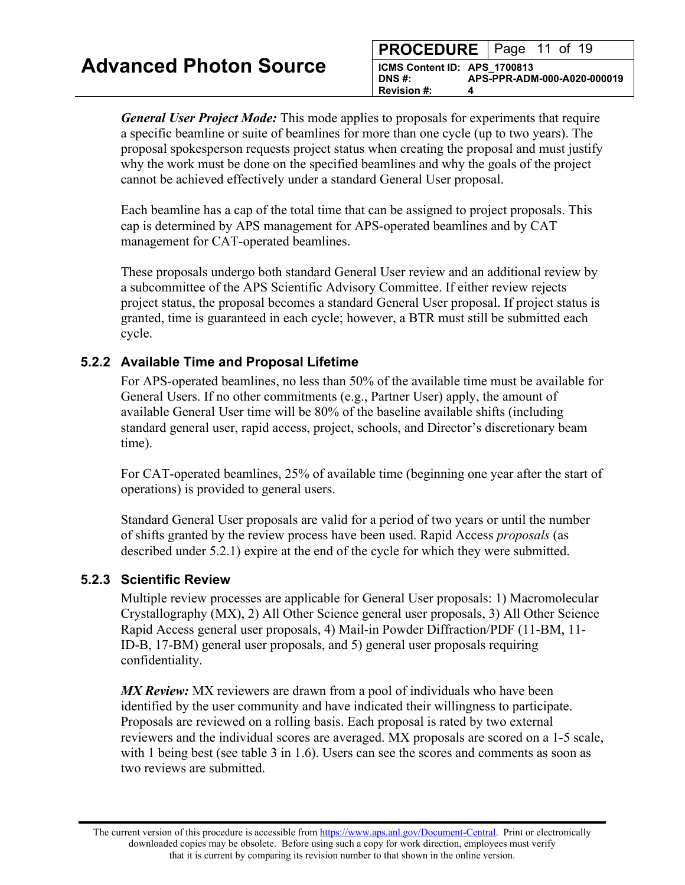| <b>PROCEDURE</b>   Page 11 of 19                                  |                             |
|-------------------------------------------------------------------|-----------------------------|
| ICMS Content ID: APS 1700813<br>DNS #:<br><b>Revision #:</b><br>4 | APS-PPR-ADM-000-A020-000019 |

*General User Project Mode:* This mode applies to proposals for experiments that require a specific beamline or suite of beamlines for more than one cycle (up to two years). The proposal spokesperson requests project status when creating the proposal and must justify why the work must be done on the specified beamlines and why the goals of the project cannot be achieved effectively under a standard General User proposal.

Each beamline has a cap of the total time that can be assigned to project proposals. This cap is determined by APS management for APS-operated beamlines and by CAT management for CAT-operated beamlines.

These proposals undergo both standard General User review and an additional review by a subcommittee of the APS Scientific Advisory Committee. If either review rejects project status, the proposal becomes a standard General User proposal. If project status is granted, time is guaranteed in each cycle; however, a BTR must still be submitted each cycle.

#### **5.2.2 Available Time and Proposal Lifetime**

For APS-operated beamlines, no less than 50% of the available time must be available for General Users. If no other commitments (e.g., Partner User) apply, the amount of available General User time will be 80% of the baseline available shifts (including standard general user, rapid access, project, schools, and Director's discretionary beam time).

For CAT-operated beamlines, 25% of available time (beginning one year after the start of operations) is provided to general users.

Standard General User proposals are valid for a period of two years or until the number of shifts granted by the review process have been used. Rapid Access *proposals* (as described under 5.2.1) expire at the end of the cycle for which they were submitted.

#### **5.2.3 Scientific Review**

Multiple review processes are applicable for General User proposals: 1) Macromolecular Crystallography (MX), 2) All Other Science general user proposals, 3) All Other Science Rapid Access general user proposals, 4) Mail-in Powder Diffraction/PDF (11-BM, 11- ID-B, 17-BM) general user proposals, and 5) general user proposals requiring confidentiality.

*MX Review:* MX reviewers are drawn from a pool of individuals who have been identified by the user community and have indicated their willingness to participate. Proposals are reviewed on a rolling basis. Each proposal is rated by two external reviewers and the individual scores are averaged. MX proposals are scored on a 1-5 scale, with 1 being best (see table 3 in 1.6). Users can see the scores and comments as soon as two reviews are submitted.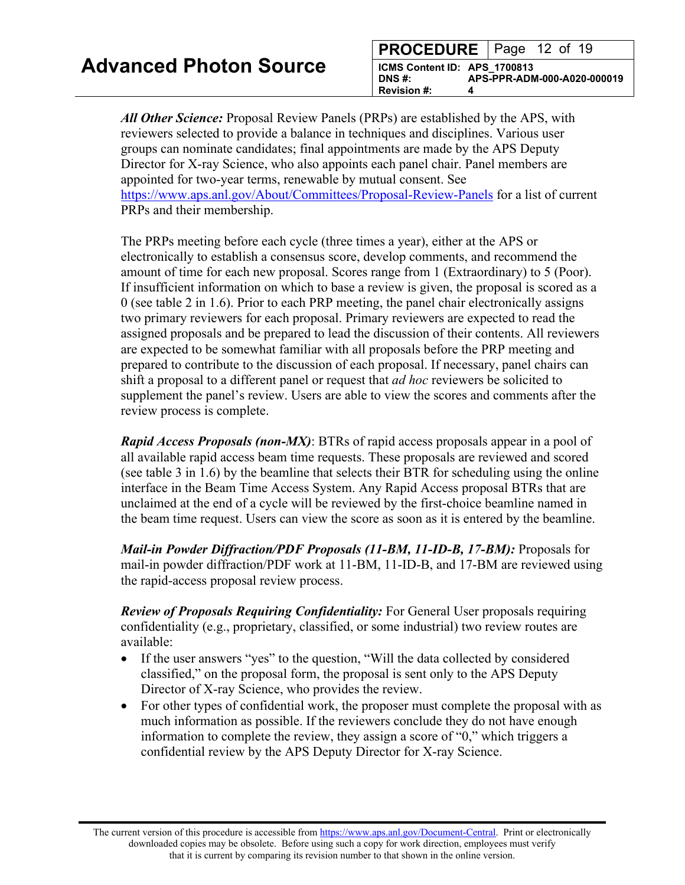| <b>PROCEDURE</b>   Page 12 of 19                                  |                             |
|-------------------------------------------------------------------|-----------------------------|
| ICMS Content ID: APS 1700813<br>DNS #:<br><b>Revision #:</b><br>д | APS-PPR-ADM-000-A020-000019 |

*All Other Science:* Proposal Review Panels (PRPs) are established by the APS, with reviewers selected to provide a balance in techniques and disciplines. Various user groups can nominate candidates; final appointments are made by the APS Deputy Director for X-ray Science, who also appoints each panel chair. Panel members are appointed for two-year terms, renewable by mutual consent. See <https://www.aps.anl.gov/About/Committees/Proposal-Review-Panels> for a list of current PRPs and their membership.

The PRPs meeting before each cycle (three times a year), either at the APS or electronically to establish a consensus score, develop comments, and recommend the amount of time for each new proposal. Scores range from 1 (Extraordinary) to 5 (Poor). If insufficient information on which to base a review is given, the proposal is scored as a 0 (see table 2 in 1.6). Prior to each PRP meeting, the panel chair electronically assigns two primary reviewers for each proposal. Primary reviewers are expected to read the assigned proposals and be prepared to lead the discussion of their contents. All reviewers are expected to be somewhat familiar with all proposals before the PRP meeting and prepared to contribute to the discussion of each proposal. If necessary, panel chairs can shift a proposal to a different panel or request that *ad hoc* reviewers be solicited to supplement the panel's review. Users are able to view the scores and comments after the review process is complete.

*Rapid Access Proposals (non-MX)*: BTRs of rapid access proposals appear in a pool of all available rapid access beam time requests. These proposals are reviewed and scored (see table 3 in 1.6) by the beamline that selects their BTR for scheduling using the online interface in the Beam Time Access System. Any Rapid Access proposal BTRs that are unclaimed at the end of a cycle will be reviewed by the first-choice beamline named in the beam time request. Users can view the score as soon as it is entered by the beamline.

*Mail-in Powder Diffraction/PDF Proposals (11-BM, 11-ID-B, 17-BM):* Proposals for mail-in powder diffraction/PDF work at 11-BM, 11-ID-B, and 17-BM are reviewed using the rapid-access proposal review process.

*Review of Proposals Requiring Confidentiality:* For General User proposals requiring confidentiality (e.g., proprietary, classified, or some industrial) two review routes are available:

- If the user answers "yes" to the question, "Will the data collected by considered classified," on the proposal form, the proposal is sent only to the APS Deputy Director of X-ray Science, who provides the review.
- For other types of confidential work, the proposer must complete the proposal with as much information as possible. If the reviewers conclude they do not have enough information to complete the review, they assign a score of "0," which triggers a confidential review by the APS Deputy Director for X-ray Science.

The current version of this procedure is accessible from [https://www.aps.anl.gov/Document-Central.](https://www.aps.anl.gov/Document-Central) Print or electronically downloaded copies may be obsolete. Before using such a copy for work direction, employees must verify that it is current by comparing its revision number to that shown in the online version.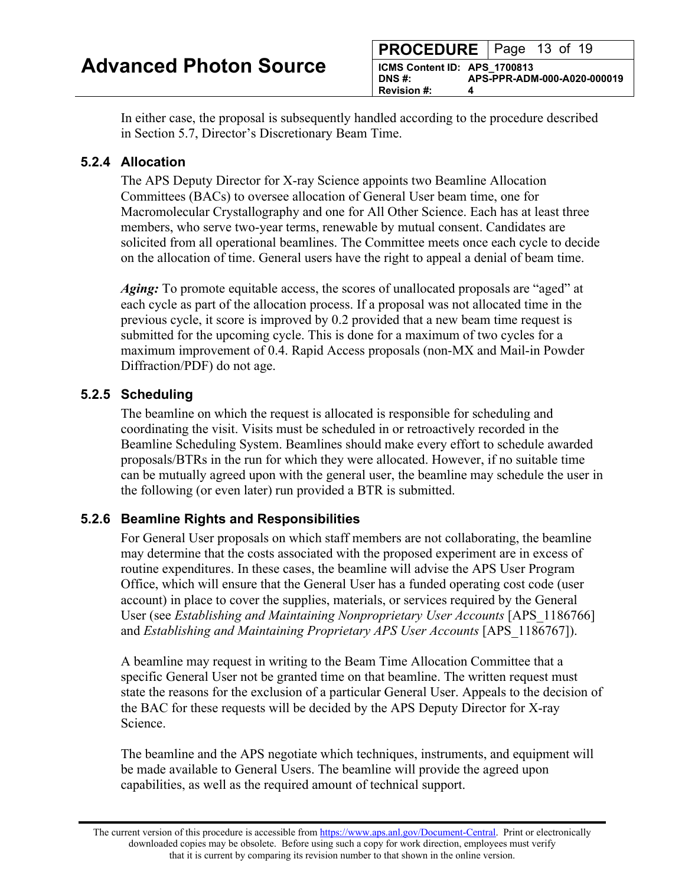|                                                                  | <b>PROCEDURE</b>   Page 13 of 19 |
|------------------------------------------------------------------|----------------------------------|
| ICMS Content ID: APS 1700813<br>DNS#:<br><b>Revision #:</b><br>Δ | APS-PPR-ADM-000-A020-000019      |

In either case, the proposal is subsequently handled according to the procedure described in Section 5.7, Director's Discretionary Beam Time.

#### **5.2.4 Allocation**

The APS Deputy Director for X-ray Science appoints two Beamline Allocation Committees (BACs) to oversee allocation of General User beam time, one for Macromolecular Crystallography and one for All Other Science. Each has at least three members, who serve two-year terms, renewable by mutual consent. Candidates are solicited from all operational beamlines. The Committee meets once each cycle to decide on the allocation of time. General users have the right to appeal a denial of beam time.

*Aging:* To promote equitable access, the scores of unallocated proposals are "aged" at each cycle as part of the allocation process. If a proposal was not allocated time in the previous cycle, it score is improved by 0.2 provided that a new beam time request is submitted for the upcoming cycle. This is done for a maximum of two cycles for a maximum improvement of 0.4. Rapid Access proposals (non-MX and Mail-in Powder Diffraction/PDF) do not age.

#### **5.2.5 Scheduling**

The beamline on which the request is allocated is responsible for scheduling and coordinating the visit. Visits must be scheduled in or retroactively recorded in the Beamline Scheduling System. Beamlines should make every effort to schedule awarded proposals/BTRs in the run for which they were allocated. However, if no suitable time can be mutually agreed upon with the general user, the beamline may schedule the user in the following (or even later) run provided a BTR is submitted.

#### **5.2.6 Beamline Rights and Responsibilities**

For General User proposals on which staff members are not collaborating, the beamline may determine that the costs associated with the proposed experiment are in excess of routine expenditures. In these cases, the beamline will advise the APS User Program Office, which will ensure that the General User has a funded operating cost code (user account) in place to cover the supplies, materials, or services required by the General User (see *Establishing and Maintaining Nonproprietary User Accounts* [APS\_1186766] and *Establishing and Maintaining Proprietary APS User Accounts* [APS 1186767]).

A beamline may request in writing to the Beam Time Allocation Committee that a specific General User not be granted time on that beamline. The written request must state the reasons for the exclusion of a particular General User. Appeals to the decision of the BAC for these requests will be decided by the APS Deputy Director for X-ray Science.

The beamline and the APS negotiate which techniques, instruments, and equipment will be made available to General Users. The beamline will provide the agreed upon capabilities, as well as the required amount of technical support.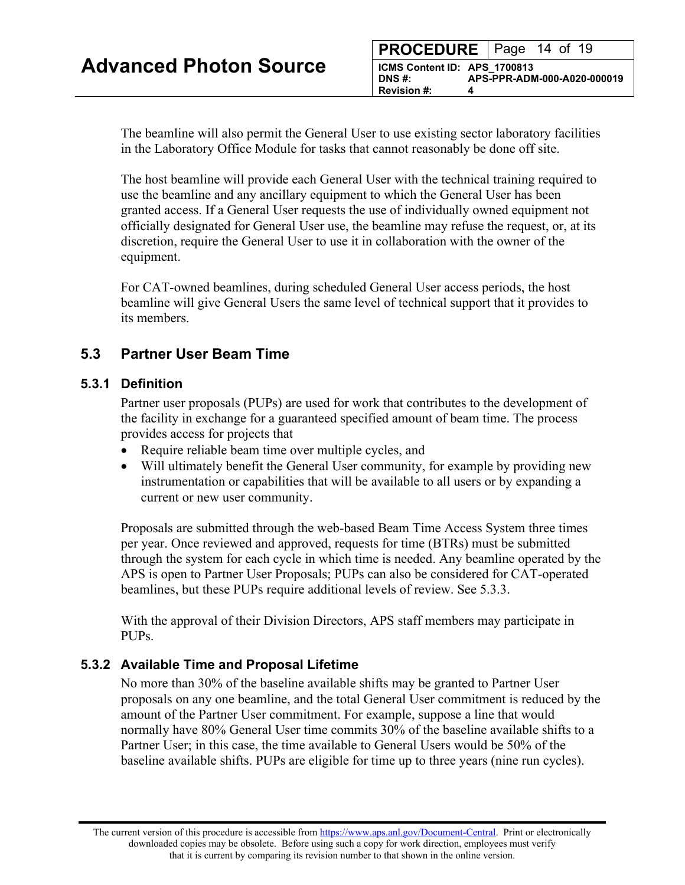<span id="page-13-0"></span>The beamline will also permit the General User to use existing sector laboratory facilities in the Laboratory Office Module for tasks that cannot reasonably be done off site.

The host beamline will provide each General User with the technical training required to use the beamline and any ancillary equipment to which the General User has been granted access. If a General User requests the use of individually owned equipment not officially designated for General User use, the beamline may refuse the request, or, at its discretion, require the General User to use it in collaboration with the owner of the equipment.

For CAT-owned beamlines, during scheduled General User access periods, the host beamline will give General Users the same level of technical support that it provides to its members.

## **5.3 Partner User Beam Time**

#### **5.3.1 Definition**

Partner user proposals (PUPs) are used for work that contributes to the development of the facility in exchange for a guaranteed specified amount of beam time. The process provides access for projects that

- Require reliable beam time over multiple cycles, and
- Will ultimately benefit the General User community, for example by providing new instrumentation or capabilities that will be available to all users or by expanding a current or new user community.

Proposals are submitted through the web-based Beam Time Access System three times per year. Once reviewed and approved, requests for time (BTRs) must be submitted through the system for each cycle in which time is needed. Any beamline operated by the APS is open to Partner User Proposals; PUPs can also be considered for CAT-operated beamlines, but these PUPs require additional levels of review. See 5.3.3.

With the approval of their Division Directors, APS staff members may participate in PUPs.

#### **5.3.2 Available Time and Proposal Lifetime**

No more than 30% of the baseline available shifts may be granted to Partner User proposals on any one beamline, and the total General User commitment is reduced by the amount of the Partner User commitment. For example, suppose a line that would normally have 80% General User time commits 30% of the baseline available shifts to a Partner User; in this case, the time available to General Users would be 50% of the baseline available shifts. PUPs are eligible for time up to three years (nine run cycles).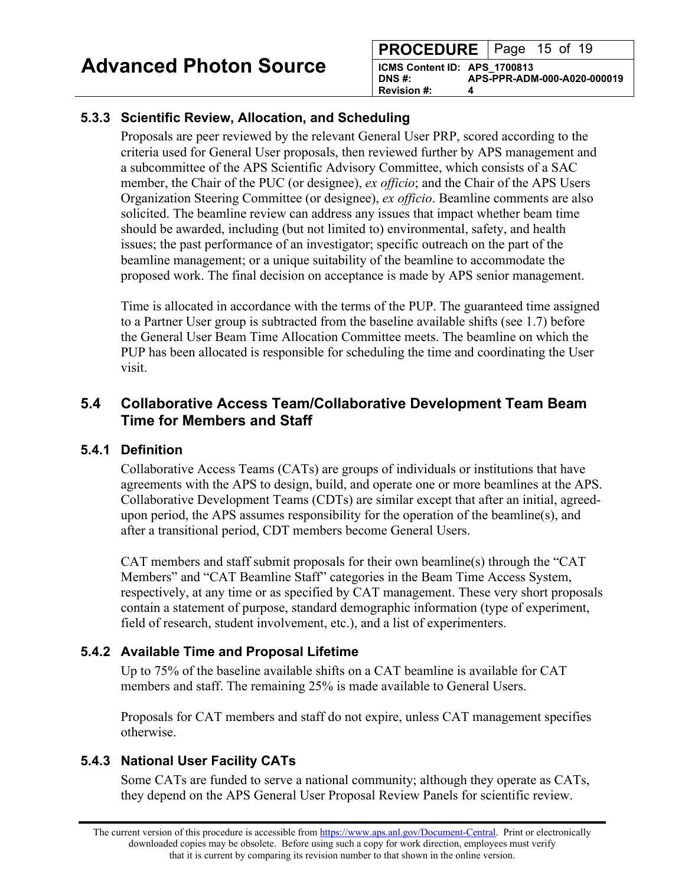## <span id="page-14-0"></span>**5.3.3 Scientific Review, Allocation, and Scheduling**

Proposals are peer reviewed by the relevant General User PRP, scored according to the criteria used for General User proposals, then reviewed further by APS management and a subcommittee of the APS Scientific Advisory Committee, which consists of a SAC member, the Chair of the PUC (or designee), *ex officio*; and the Chair of the APS Users Organization Steering Committee (or designee), *ex officio*. Beamline comments are also solicited. The beamline review can address any issues that impact whether beam time should be awarded, including (but not limited to) environmental, safety, and health issues; the past performance of an investigator; specific outreach on the part of the beamline management; or a unique suitability of the beamline to accommodate the proposed work. The final decision on acceptance is made by APS senior management.

Time is allocated in accordance with the terms of the PUP. The guaranteed time assigned to a Partner User group is subtracted from the baseline available shifts (see 1.7) before the General User Beam Time Allocation Committee meets. The beamline on which the PUP has been allocated is responsible for scheduling the time and coordinating the User visit.

## **5.4 Collaborative Access Team/Collaborative Development Team Beam Time for Members and Staff**

#### **5.4.1 Definition**

Collaborative Access Teams (CATs) are groups of individuals or institutions that have agreements with the APS to design, build, and operate one or more beamlines at the APS. Collaborative Development Teams (CDTs) are similar except that after an initial, agreedupon period, the APS assumes responsibility for the operation of the beamline(s), and after a transitional period, CDT members become General Users.

CAT members and staff submit proposals for their own beamline(s) through the "CAT Members" and "CAT Beamline Staff" categories in the Beam Time Access System, respectively, at any time or as specified by CAT management. These very short proposals contain a statement of purpose, standard demographic information (type of experiment, field of research, student involvement, etc.), and a list of experimenters.

#### **5.4.2 Available Time and Proposal Lifetime**

Up to 75% of the baseline available shifts on a CAT beamline is available for CAT members and staff. The remaining 25% is made available to General Users.

Proposals for CAT members and staff do not expire, unless CAT management specifies otherwise.

## **5.4.3 National User Facility CATs**

Some CATs are funded to serve a national community; although they operate as CATs, they depend on the APS General User Proposal Review Panels for scientific review.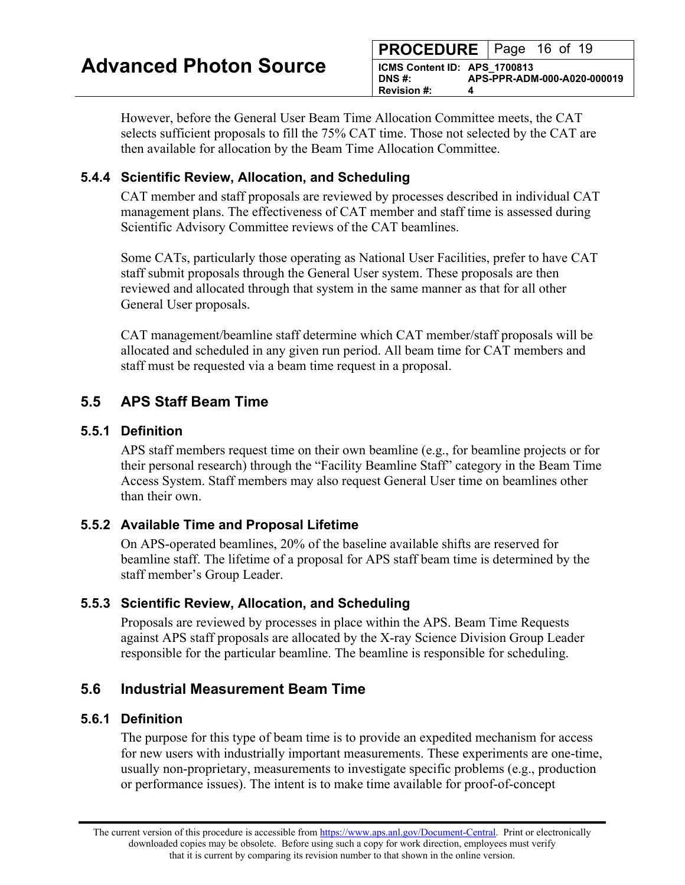**PROCEDURE** | Page 16 of 19 **ICMS Content ID: APS\_1700813 DNS #: APS-PPR-ADM-000-A020-000019 Revision #:** 

<span id="page-15-0"></span>However, before the General User Beam Time Allocation Committee meets, the CAT selects sufficient proposals to fill the 75% CAT time. Those not selected by the CAT are then available for allocation by the Beam Time Allocation Committee.

#### **5.4.4 Scientific Review, Allocation, and Scheduling**

CAT member and staff proposals are reviewed by processes described in individual CAT management plans. The effectiveness of CAT member and staff time is assessed during Scientific Advisory Committee reviews of the CAT beamlines.

Some CATs, particularly those operating as National User Facilities, prefer to have CAT staff submit proposals through the General User system. These proposals are then reviewed and allocated through that system in the same manner as that for all other General User proposals.

CAT management/beamline staff determine which CAT member/staff proposals will be allocated and scheduled in any given run period. All beam time for CAT members and staff must be requested via a beam time request in a proposal.

## **5.5 APS Staff Beam Time**

#### **5.5.1 Definition**

APS staff members request time on their own beamline (e.g., for beamline projects or for their personal research) through the "Facility Beamline Staff" category in the Beam Time Access System. Staff members may also request General User time on beamlines other than their own.

#### **5.5.2 Available Time and Proposal Lifetime**

On APS-operated beamlines, 20% of the baseline available shifts are reserved for beamline staff. The lifetime of a proposal for APS staff beam time is determined by the staff member's Group Leader.

#### **5.5.3 Scientific Review, Allocation, and Scheduling**

Proposals are reviewed by processes in place within the APS. Beam Time Requests against APS staff proposals are allocated by the X-ray Science Division Group Leader responsible for the particular beamline. The beamline is responsible for scheduling.

## **5.6 Industrial Measurement Beam Time**

#### **5.6.1 Definition**

The purpose for this type of beam time is to provide an expedited mechanism for access for new users with industrially important measurements. These experiments are one-time, usually non-proprietary, measurements to investigate specific problems (e.g., production or performance issues). The intent is to make time available for proof-of-concept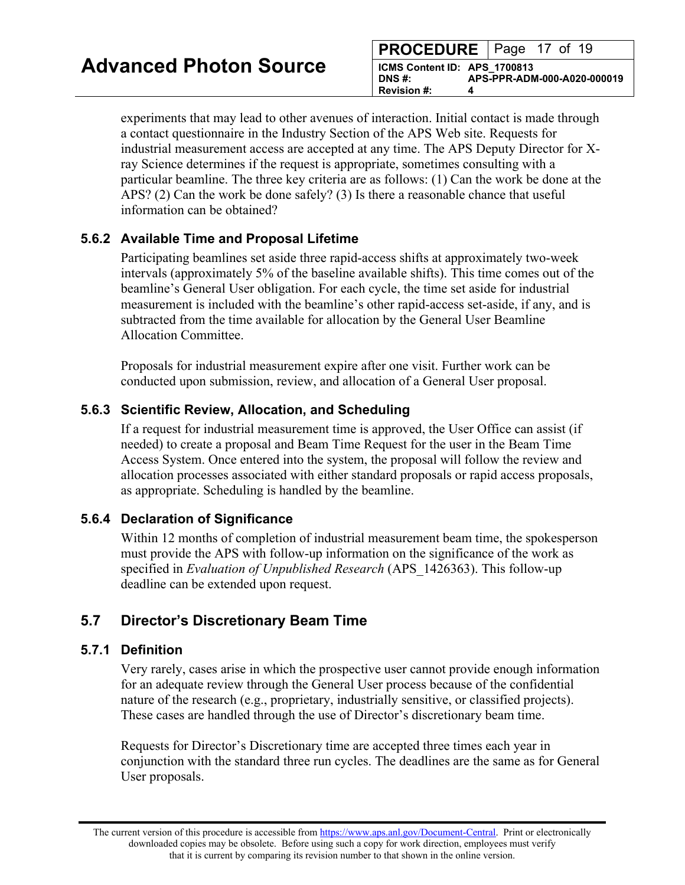<span id="page-16-0"></span>experiments that may lead to other avenues of interaction. Initial contact is made through a contact questionnaire in the Industry Section of the APS Web site. Requests for industrial measurement access are accepted at any time. The APS Deputy Director for Xray Science determines if the request is appropriate, sometimes consulting with a particular beamline. The three key criteria are as follows: (1) Can the work be done at the APS? (2) Can the work be done safely? (3) Is there a reasonable chance that useful information can be obtained?

#### **5.6.2 Available Time and Proposal Lifetime**

Participating beamlines set aside three rapid-access shifts at approximately two-week intervals (approximately 5% of the baseline available shifts). This time comes out of the beamline's General User obligation. For each cycle, the time set aside for industrial measurement is included with the beamline's other rapid-access set-aside, if any, and is subtracted from the time available for allocation by the General User Beamline Allocation Committee.

Proposals for industrial measurement expire after one visit. Further work can be conducted upon submission, review, and allocation of a General User proposal.

## **5.6.3 Scientific Review, Allocation, and Scheduling**

If a request for industrial measurement time is approved, the User Office can assist (if needed) to create a proposal and Beam Time Request for the user in the Beam Time Access System. Once entered into the system, the proposal will follow the review and allocation processes associated with either standard proposals or rapid access proposals, as appropriate. Scheduling is handled by the beamline.

#### **5.6.4 Declaration of Significance**

Within 12 months of completion of industrial measurement beam time, the spokesperson must provide the APS with follow-up information on the significance of the work as specified in *Evaluation of Unpublished Research* (APS\_1426363). This follow-up deadline can be extended upon request.

# **5.7 Director's Discretionary Beam Time**

#### **5.7.1 Definition**

Very rarely, cases arise in which the prospective user cannot provide enough information for an adequate review through the General User process because of the confidential nature of the research (e.g., proprietary, industrially sensitive, or classified projects). These cases are handled through the use of Director's discretionary beam time.

Requests for Director's Discretionary time are accepted three times each year in conjunction with the standard three run cycles. The deadlines are the same as for General User proposals.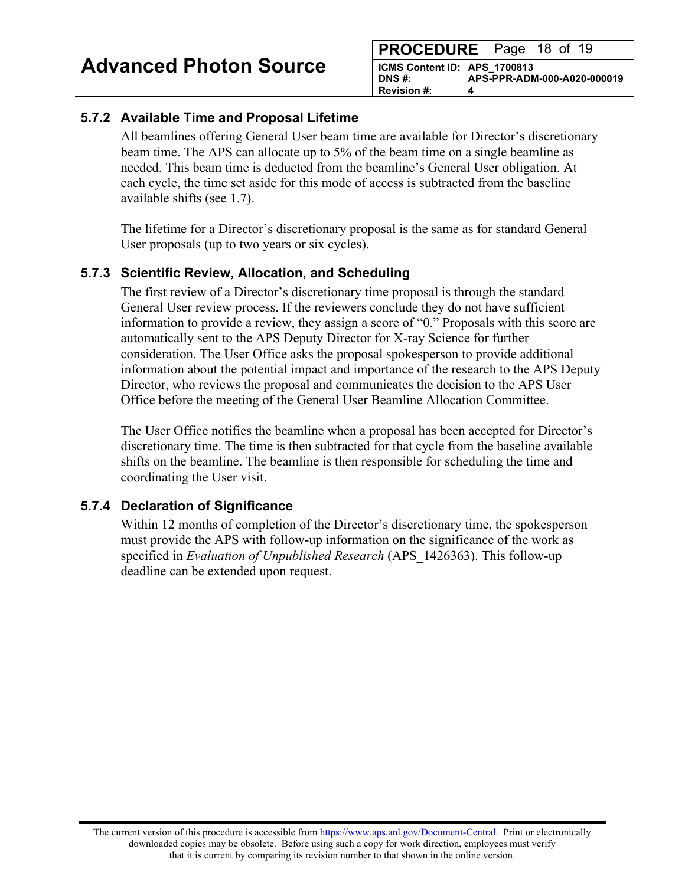| <b>PROCEDURE</b> Page 18 of 19                               |  |  |                             |
|--------------------------------------------------------------|--|--|-----------------------------|
| ICMS Content ID: APS 1700813<br>DNS #:<br><b>Revision #:</b> |  |  | APS-PPR-ADM-000-A020-000019 |

#### **5.7.2 Available Time and Proposal Lifetime**

All beamlines offering General User beam time are available for Director's discretionary beam time. The APS can allocate up to 5% of the beam time on a single beamline as needed. This beam time is deducted from the beamline's General User obligation. At each cycle, the time set aside for this mode of access is subtracted from the baseline available shifts (see 1.7).

The lifetime for a Director's discretionary proposal is the same as for standard General User proposals (up to two years or six cycles).

#### **5.7.3 Scientific Review, Allocation, and Scheduling**

The first review of a Director's discretionary time proposal is through the standard General User review process. If the reviewers conclude they do not have sufficient information to provide a review, they assign a score of "0." Proposals with this score are automatically sent to the APS Deputy Director for X-ray Science for further consideration. The User Office asks the proposal spokesperson to provide additional information about the potential impact and importance of the research to the APS Deputy Director, who reviews the proposal and communicates the decision to the APS User Office before the meeting of the General User Beamline Allocation Committee.

The User Office notifies the beamline when a proposal has been accepted for Director's discretionary time. The time is then subtracted for that cycle from the baseline available shifts on the beamline. The beamline is then responsible for scheduling the time and coordinating the User visit.

#### **5.7.4 Declaration of Significance**

Within 12 months of completion of the Director's discretionary time, the spokesperson must provide the APS with follow-up information on the significance of the work as specified in *Evaluation of Unpublished Research* (APS\_1426363). This follow-up deadline can be extended upon request.